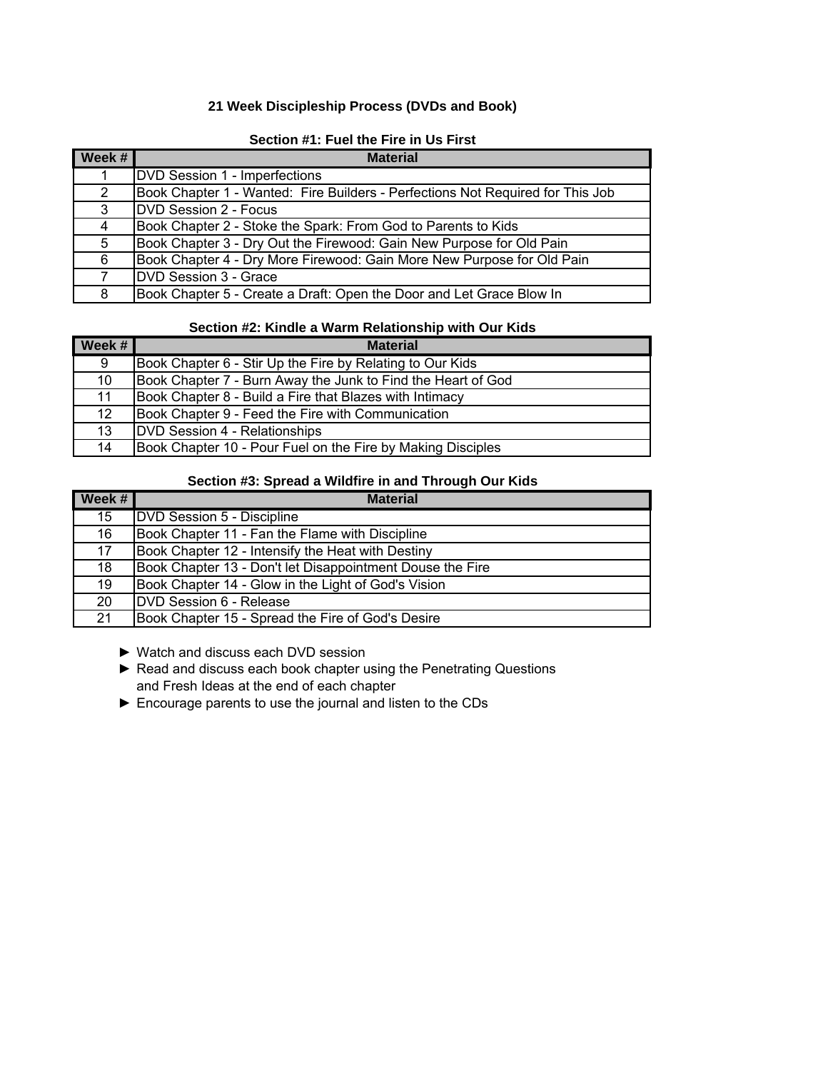## **21 Week Discipleship Process (DVDs and Book)**

| Week # | <b>Material</b>                                                                |
|--------|--------------------------------------------------------------------------------|
|        | DVD Session 1 - Imperfections                                                  |
| 2      | Book Chapter 1 - Wanted: Fire Builders - Perfections Not Required for This Job |
| 3      | <b>IDVD Session 2 - Focus</b>                                                  |
| 4      | Book Chapter 2 - Stoke the Spark: From God to Parents to Kids                  |
| 5      | Book Chapter 3 - Dry Out the Firewood: Gain New Purpose for Old Pain           |
| 6      | Book Chapter 4 - Dry More Firewood: Gain More New Purpose for Old Pain         |
| 7      | DVD Session 3 - Grace                                                          |
| 8      | Book Chapter 5 - Create a Draft: Open the Door and Let Grace Blow In           |

## **Section #1: Fuel the Fire in Us First**

## **Section #2: Kindle a Warm Relationship with Our Kids**

| Week $#$        | <b>Material</b>                                              |
|-----------------|--------------------------------------------------------------|
| 9               | Book Chapter 6 - Stir Up the Fire by Relating to Our Kids    |
| 10              | Book Chapter 7 - Burn Away the Junk to Find the Heart of God |
| 11              | Book Chapter 8 - Build a Fire that Blazes with Intimacy      |
| 12 <sup>2</sup> | Book Chapter 9 - Feed the Fire with Communication            |
| 13              | DVD Session 4 - Relationships                                |
| 14              | Book Chapter 10 - Pour Fuel on the Fire by Making Disciples  |

#### **Section #3: Spread a Wildfire in and Through Our Kids**

| Week # | <b>Material</b>                                           |
|--------|-----------------------------------------------------------|
| 15     | <b>DVD Session 5 - Discipline</b>                         |
| 16     | Book Chapter 11 - Fan the Flame with Discipline           |
| 17     | Book Chapter 12 - Intensify the Heat with Destiny         |
| 18     | Book Chapter 13 - Don't let Disappointment Douse the Fire |
| 19     | Book Chapter 14 - Glow in the Light of God's Vision       |
| 20     | DVD Session 6 - Release                                   |
| 21     | Book Chapter 15 - Spread the Fire of God's Desire         |

- ► Watch and discuss each DVD session
- ► Read and discuss each book chapter using the Penetrating Questions and Fresh Ideas at the end of each chapter
- ► Encourage parents to use the journal and listen to the CDs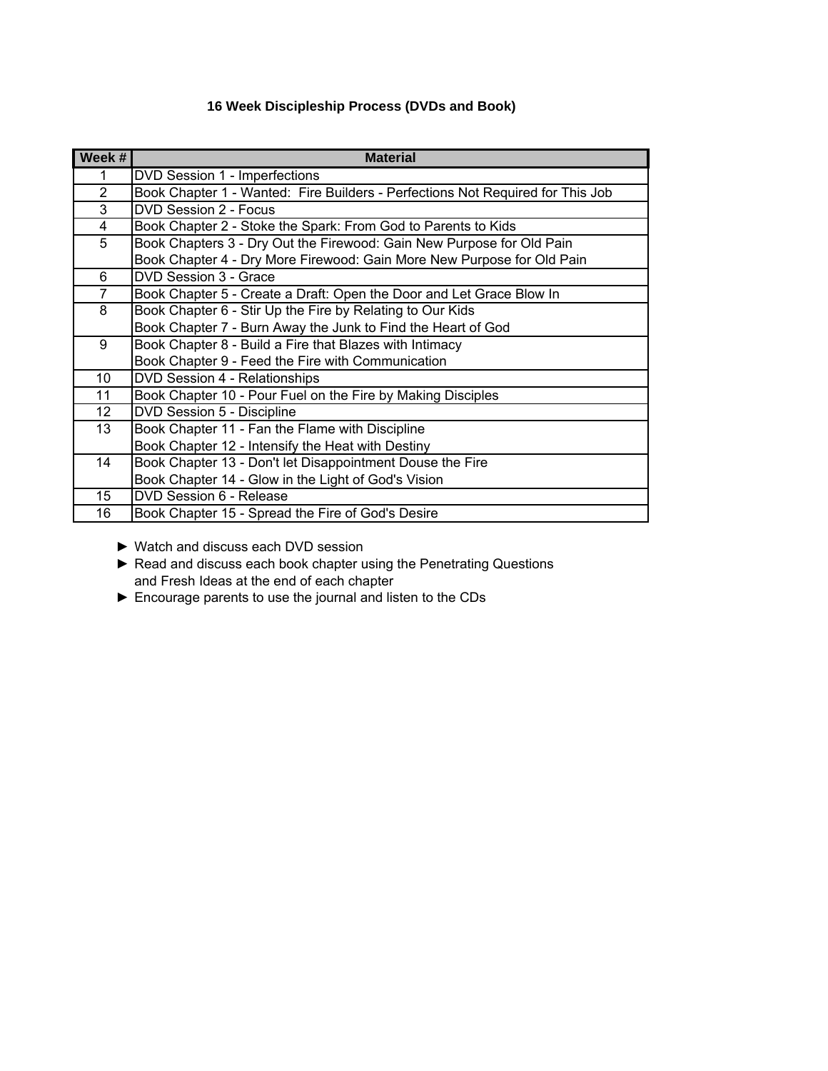# **16 Week Discipleship Process (DVDs and Book)**

| Week #         | <b>Material</b>                                                                |
|----------------|--------------------------------------------------------------------------------|
|                | DVD Session 1 - Imperfections                                                  |
| $\overline{2}$ | Book Chapter 1 - Wanted: Fire Builders - Perfections Not Required for This Job |
| 3              | DVD Session 2 - Focus                                                          |
| 4              | Book Chapter 2 - Stoke the Spark: From God to Parents to Kids                  |
| 5              | Book Chapters 3 - Dry Out the Firewood: Gain New Purpose for Old Pain          |
|                | Book Chapter 4 - Dry More Firewood: Gain More New Purpose for Old Pain         |
| 6              | DVD Session 3 - Grace                                                          |
| $\overline{7}$ | Book Chapter 5 - Create a Draft: Open the Door and Let Grace Blow In           |
| 8              | Book Chapter 6 - Stir Up the Fire by Relating to Our Kids                      |
|                | Book Chapter 7 - Burn Away the Junk to Find the Heart of God                   |
| 9              | Book Chapter 8 - Build a Fire that Blazes with Intimacy                        |
|                | Book Chapter 9 - Feed the Fire with Communication                              |
| 10             | DVD Session 4 - Relationships                                                  |
| 11             | Book Chapter 10 - Pour Fuel on the Fire by Making Disciples                    |
| 12             | DVD Session 5 - Discipline                                                     |
| 13             | Book Chapter 11 - Fan the Flame with Discipline                                |
|                | Book Chapter 12 - Intensify the Heat with Destiny                              |
| 14             | Book Chapter 13 - Don't let Disappointment Douse the Fire                      |
|                | Book Chapter 14 - Glow in the Light of God's Vision                            |
| 15             | DVD Session 6 - Release                                                        |
| 16             | Book Chapter 15 - Spread the Fire of God's Desire                              |

- ► Watch and discuss each DVD session
- ► Read and discuss each book chapter using the Penetrating Questions and Fresh Ideas at the end of each chapter
- ► Encourage parents to use the journal and listen to the CDs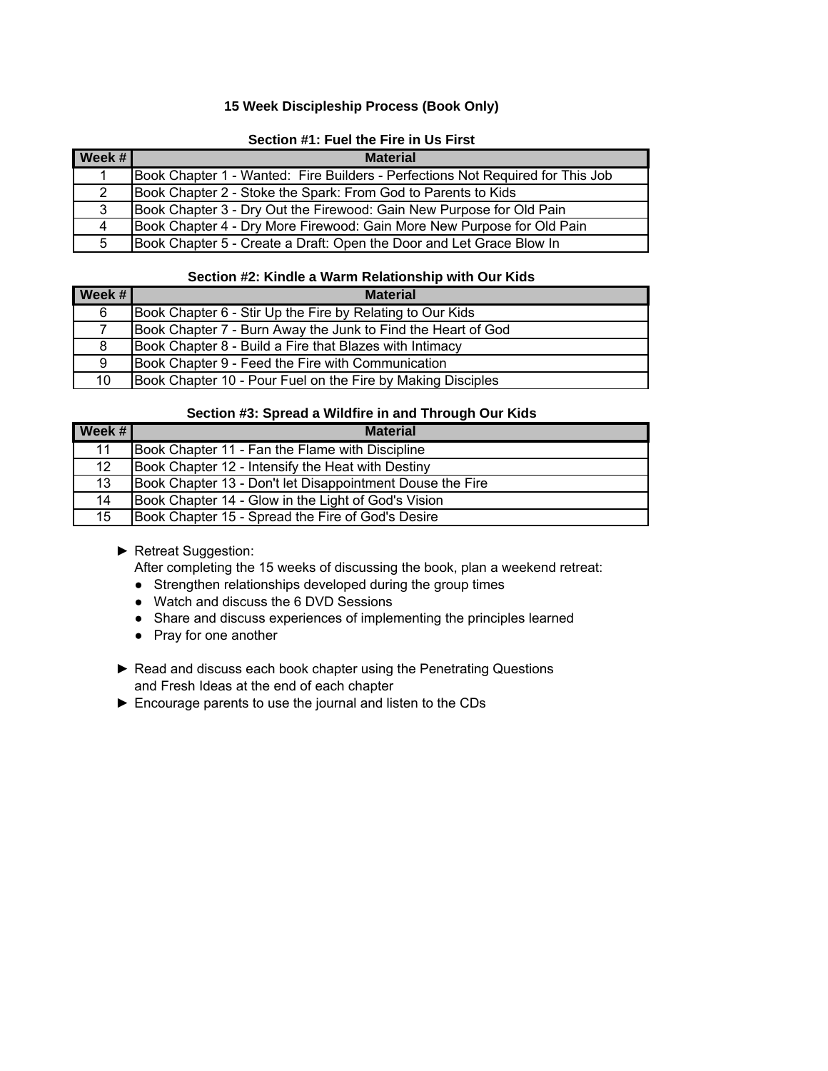## **15 Week Discipleship Process (Book Only)**

## **Section #1: Fuel the Fire in Us First**

| $\vert$ Week # $\vert$ | <b>Material</b>                                                                |
|------------------------|--------------------------------------------------------------------------------|
|                        | Book Chapter 1 - Wanted: Fire Builders - Perfections Not Required for This Job |
| $\mathbf{2}^{\circ}$   | Book Chapter 2 - Stoke the Spark: From God to Parents to Kids                  |
| 3                      | Book Chapter 3 - Dry Out the Firewood: Gain New Purpose for Old Pain           |
| 4                      | Book Chapter 4 - Dry More Firewood: Gain More New Purpose for Old Pain         |
| 5                      | Book Chapter 5 - Create a Draft: Open the Door and Let Grace Blow In           |

#### **Section #2: Kindle a Warm Relationship with Our Kids**

| Week # | <b>Material</b>                                              |
|--------|--------------------------------------------------------------|
| 6      | Book Chapter 6 - Stir Up the Fire by Relating to Our Kids    |
|        | Book Chapter 7 - Burn Away the Junk to Find the Heart of God |
| 8      | Book Chapter 8 - Build a Fire that Blazes with Intimacy      |
| 9      | Book Chapter 9 - Feed the Fire with Communication            |
| 10     | Book Chapter 10 - Pour Fuel on the Fire by Making Disciples  |

#### **Section #3: Spread a Wildfire in and Through Our Kids**

| Week $#$        | <b>Material</b>                                           |
|-----------------|-----------------------------------------------------------|
| 11              | Book Chapter 11 - Fan the Flame with Discipline           |
| 12 <sup>2</sup> | Book Chapter 12 - Intensify the Heat with Destiny         |
| 13 <sup>°</sup> | Book Chapter 13 - Don't let Disappointment Douse the Fire |
| 14              | Book Chapter 14 - Glow in the Light of God's Vision       |
| 15              | Book Chapter 15 - Spread the Fire of God's Desire         |

## ► Retreat Suggestion:

After completing the 15 weeks of discussing the book, plan a weekend retreat:

- Strengthen relationships developed during the group times
- Watch and discuss the 6 DVD Sessions
- Share and discuss experiences of implementing the principles learned
- Pray for one another
- ▶ Read and discuss each book chapter using the Penetrating Questions and Fresh Ideas at the end of each chapter
- ► Encourage parents to use the journal and listen to the CDs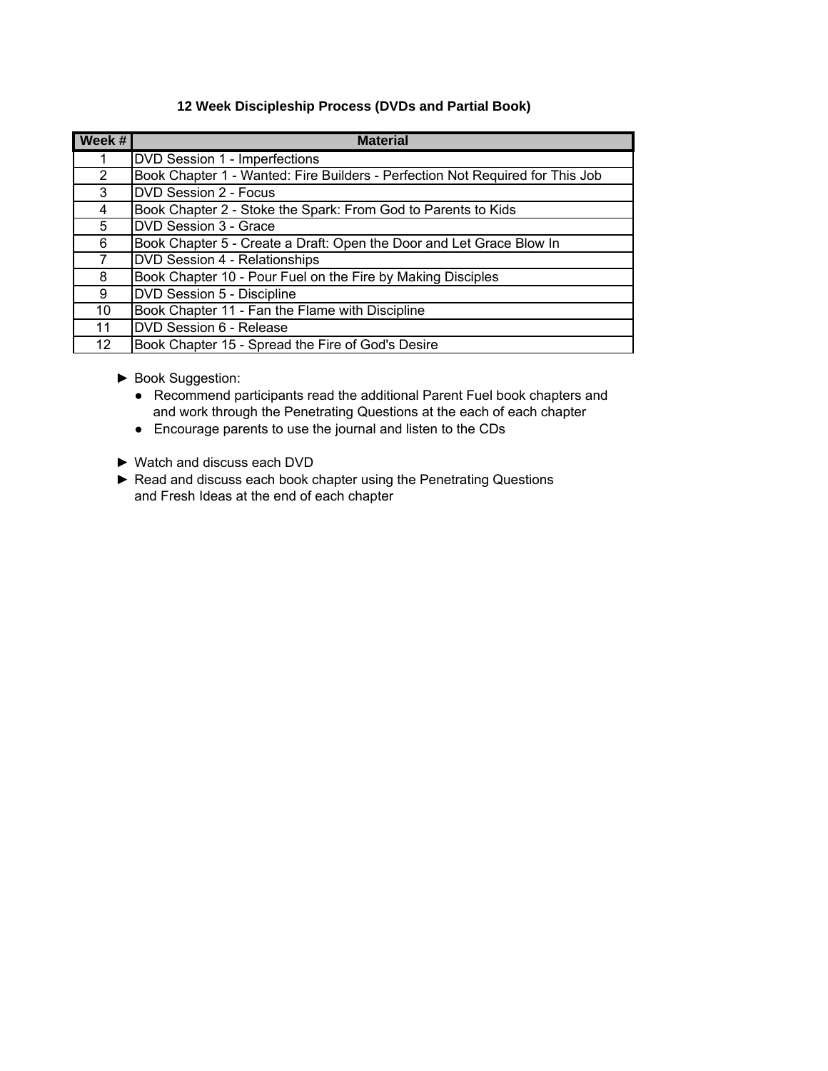## **12 Week Discipleship Process (DVDs and Partial Book)**

| Week #         | <b>Material</b>                                                               |
|----------------|-------------------------------------------------------------------------------|
|                | DVD Session 1 - Imperfections                                                 |
| $\overline{2}$ | Book Chapter 1 - Wanted: Fire Builders - Perfection Not Required for This Job |
| 3              | <b>DVD Session 2 - Focus</b>                                                  |
| 4              | Book Chapter 2 - Stoke the Spark: From God to Parents to Kids                 |
| 5              | DVD Session 3 - Grace                                                         |
| 6              | Book Chapter 5 - Create a Draft: Open the Door and Let Grace Blow In          |
| 7              | <b>DVD Session 4 - Relationships</b>                                          |
| 8              | Book Chapter 10 - Pour Fuel on the Fire by Making Disciples                   |
| 9              | DVD Session 5 - Discipline                                                    |
| 10             | Book Chapter 11 - Fan the Flame with Discipline                               |
| 11             | DVD Session 6 - Release                                                       |
| 12             | Book Chapter 15 - Spread the Fire of God's Desire                             |

- ► Book Suggestion:
	- Recommend participants read the additional Parent Fuel book chapters and and work through the Penetrating Questions at the each of each chapter
	- Encourage parents to use the journal and listen to the CDs
- ► Watch and discuss each DVD
- ► Read and discuss each book chapter using the Penetrating Questions and Fresh Ideas at the end of each chapter